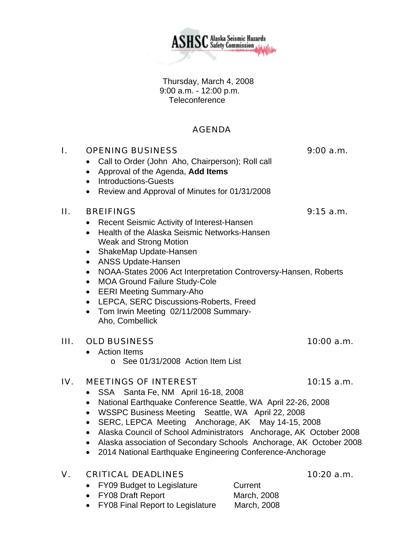Thursday, March 4, 2008 9:00 a.m. - 12:00 p.m. **Teleconference** 

# AGENDA

## I. OPENING BUSINESS 9:00 a.m.

- Call to Order (John Aho, Chairperson); Roll call
- Approval of the Agenda, **Add Items**
- Introductions-Guests
- Review and Approval of Minutes for 01/31/2008

## II. BREIFINGS 9:15 a.m.

- Recent Seismic Activity of Interest-Hansen
- Health of the Alaska Seismic Networks-Hansen Weak and Strong Motion
- ShakeMap Update-Hansen
- ANSS Update-Hansen
- NOAA-States 2006 Act Interpretation Controversy-Hansen, Roberts
- MOA Ground Failure Study-Cole
- EERI Meeting Summary-Aho
- LEPCA, SERC Discussions-Roberts, Freed
- Tom Irwin Meeting 02/11/2008 Summary-Aho, Combellick

## III. OLD BUSINESS 10:00 a.m.

- Action Items
	- o See 01/31/2008 Action Item List

## IV. MEETINGS OF INTEREST 10:15 a.m.

- SSA Santa Fe, NM April 16-18, 2008
- National Earthquake Conference Seattle, WA April 22-26, 2008
- WSSPC Business Meeting Seattle, WA April 22, 2008
- SERC, LEPCA Meeting Anchorage, AK May 14-15, 2008
- Alaska Council of School Administrators Anchorage, AK October 2008
- Alaska association of Secondary Schools Anchorage, AK October 2008
- 2014 National Earthquake Engineering Conference-Anchorage

## V. CRITICAL DEADLINES 10:20 a.m.

- FY09 Budget to Legislature Current
- FY08 Draft Report March, 2008
- FY08 Final Report to Legislature March, 2008

**ASHSC** Alaska Seismic Hazards